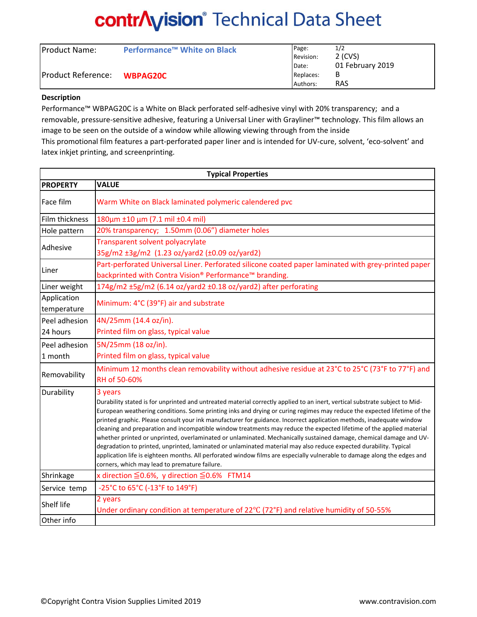# **contrAyision**® Technical Data Sheet

| <b>Product Name:</b> | Performance <sup>™</sup> White on Black | Page:     | 1/2              |
|----------------------|-----------------------------------------|-----------|------------------|
| Product Reference:   | <b>WBPAG20C</b>                         | Revision: | 2 (CVS)          |
|                      |                                         | Date:     | 01 February 2019 |
|                      |                                         | Replaces: | В                |
|                      |                                         | Authors:  | <b>RAS</b>       |

### **Description**

Performance™ WBPAG20C is a White on Black perforated self-adhesive vinyl with 20% transparency; and a removable, pressure-sensitive adhesive, featuring a Universal Liner with Grayliner™ technology. This film allows an image to be seen on the outside of a window while allowing viewing through from the inside This promotional film features a part-perforated paper liner and is intended for UV-cure, solvent, 'eco-solvent' and latex inkjet printing, and screenprinting.

| <b>Typical Properties</b>  |                                                                                                                                                                                                                                                                                                                                                                                                                                                                                                                                                                                                                                                                                                                                                                                                                                                                                                                                           |  |  |  |
|----------------------------|-------------------------------------------------------------------------------------------------------------------------------------------------------------------------------------------------------------------------------------------------------------------------------------------------------------------------------------------------------------------------------------------------------------------------------------------------------------------------------------------------------------------------------------------------------------------------------------------------------------------------------------------------------------------------------------------------------------------------------------------------------------------------------------------------------------------------------------------------------------------------------------------------------------------------------------------|--|--|--|
| <b>PROPERTY</b>            | <b>VALUE</b>                                                                                                                                                                                                                                                                                                                                                                                                                                                                                                                                                                                                                                                                                                                                                                                                                                                                                                                              |  |  |  |
| Face film                  | Warm White on Black laminated polymeric calendered pvc                                                                                                                                                                                                                                                                                                                                                                                                                                                                                                                                                                                                                                                                                                                                                                                                                                                                                    |  |  |  |
| Film thickness             | 180μm ±10 μm (7.1 mil ±0.4 mil)                                                                                                                                                                                                                                                                                                                                                                                                                                                                                                                                                                                                                                                                                                                                                                                                                                                                                                           |  |  |  |
| Hole pattern               | 20% transparency; 1.50mm (0.06") diameter holes                                                                                                                                                                                                                                                                                                                                                                                                                                                                                                                                                                                                                                                                                                                                                                                                                                                                                           |  |  |  |
| Adhesive                   | Transparent solvent polyacrylate<br>35g/m2 ±3g/m2 (1.23 oz/yard2 (±0.09 oz/yard2)                                                                                                                                                                                                                                                                                                                                                                                                                                                                                                                                                                                                                                                                                                                                                                                                                                                         |  |  |  |
| Liner                      | Part-perforated Universal Liner. Perforated silicone coated paper laminated with grey-printed paper<br>backprinted with Contra Vision® Performance™ branding.                                                                                                                                                                                                                                                                                                                                                                                                                                                                                                                                                                                                                                                                                                                                                                             |  |  |  |
| Liner weight               | 174g/m2 ±5g/m2 (6.14 oz/yard2 ±0.18 oz/yard2) after perforating                                                                                                                                                                                                                                                                                                                                                                                                                                                                                                                                                                                                                                                                                                                                                                                                                                                                           |  |  |  |
| Application<br>temperature | Minimum: 4°C (39°F) air and substrate                                                                                                                                                                                                                                                                                                                                                                                                                                                                                                                                                                                                                                                                                                                                                                                                                                                                                                     |  |  |  |
| Peel adhesion              | 4N/25mm (14.4 oz/in).                                                                                                                                                                                                                                                                                                                                                                                                                                                                                                                                                                                                                                                                                                                                                                                                                                                                                                                     |  |  |  |
| 24 hours                   | Printed film on glass, typical value                                                                                                                                                                                                                                                                                                                                                                                                                                                                                                                                                                                                                                                                                                                                                                                                                                                                                                      |  |  |  |
| Peel adhesion<br>1 month   | 5N/25mm (18 oz/in).<br>Printed film on glass, typical value                                                                                                                                                                                                                                                                                                                                                                                                                                                                                                                                                                                                                                                                                                                                                                                                                                                                               |  |  |  |
| Removability               | Minimum 12 months clean removability without adhesive residue at 23°C to 25°C (73°F to 77°F) and<br>RH of 50-60%                                                                                                                                                                                                                                                                                                                                                                                                                                                                                                                                                                                                                                                                                                                                                                                                                          |  |  |  |
| Durability                 | 3 years<br>Durability stated is for unprinted and untreated material correctly applied to an inert, vertical substrate subject to Mid-<br>European weathering conditions. Some printing inks and drying or curing regimes may reduce the expected lifetime of the<br>printed graphic. Please consult your ink manufacturer for guidance. Incorrect application methods, inadequate window<br>cleaning and preparation and incompatible window treatments may reduce the expected lifetime of the applied material<br>whether printed or unprinted, overlaminated or unlaminated. Mechanically sustained damage, chemical damage and UV-<br>degradation to printed, unprinted, laminated or unlaminated material may also reduce expected durability. Typical<br>application life is eighteen months. All perforated window films are especially vulnerable to damage along the edges and<br>corners, which may lead to premature failure. |  |  |  |
| Shrinkage                  | x direction $\leq$ 0.6%, y direction $\leq$ 0.6% FTM14                                                                                                                                                                                                                                                                                                                                                                                                                                                                                                                                                                                                                                                                                                                                                                                                                                                                                    |  |  |  |
| Service temp               | -25°C to 65°C (-13°F to 149°F)                                                                                                                                                                                                                                                                                                                                                                                                                                                                                                                                                                                                                                                                                                                                                                                                                                                                                                            |  |  |  |
| <b>Shelf life</b>          | 2 years<br>Under ordinary condition at temperature of 22°C (72°F) and relative humidity of 50-55%                                                                                                                                                                                                                                                                                                                                                                                                                                                                                                                                                                                                                                                                                                                                                                                                                                         |  |  |  |
| Other info                 |                                                                                                                                                                                                                                                                                                                                                                                                                                                                                                                                                                                                                                                                                                                                                                                                                                                                                                                                           |  |  |  |